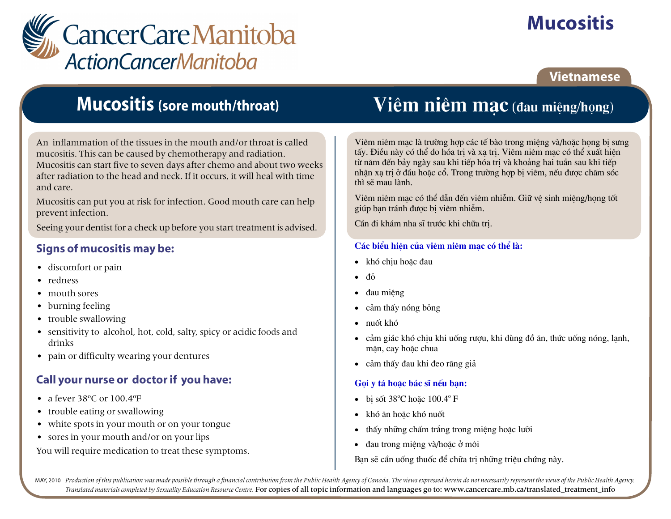

# **Mucositis**

## **Vietnamese**

## **Mucositis (sore mouth/throat)**

An inflammation of the tissues in the mouth and/or throat is called mucositis. This can be caused by chemotherapy and radiation. Mucositis can start five to seven days after chemo and about two weeks after radiation to the head and neck. If it occurs, it will heal with time and care.

Mucositis can put you at risk for infection. Good mouth care can help prevent infection.

Seeing your dentist for a check up before you start treatment is advised.

### **Signs of mucositis may be:**

- discomfort or pain
- redness
- mouth sores
- burning feeling
- trouble swallowing
- sensitivity to alcohol, hot, cold, salty, spicy or acidic foods and drinks
- pain or difficulty wearing your dentures

### Call your nurse or doctor if you have:

- a fever  $38^{\circ}$ C or  $100.4^{\circ}$ F
- trouble eating or swallowing
- white spots in your mouth or on your tongue
- sores in your mouth and/or on your lips

You will require medication to treat these symptoms.

## Viêm niêm mac (đau miệng/họng)

Viêm niêm mac là trường hợp các tế bào trong miêng và/hoặc hong bị sưng tấy. Điều này có thể do hóa tri và xa tri. Viêm niêm mac có thể xuất hiên từ năm đến bảy ngày sau khi tiếp hóa tri và khoảng hai tuần sau khi tiếp nhân xa tri ở đầu hoặc cổ. Trong trường hợp bi viêm, nếu được chăm sốc thì sẽ mau lành.

Viêm niêm mac có thể dẫn đến viêm nhiễm. Giữ vê sinh miêng/hong tốt giúp ban tránh được bị viêm nhiễm.

Cần đi khám nha sĩ trước khi chữa tri.

#### Các biểu hiên của viêm niêm mac có thể là:

- khó chiu hoặc đau
- đỏ
- đau miêng  $\bullet$
- cảm thấy nóng bỏng  $\bullet$
- $\bullet$  nuốt khó
- cảm giác khó chiu khi uống rượu, khi dùng đồ ăn, thức uống nóng, lanh, măn, cay hoăc chua
- cảm thấy đau khi đeo răng giả

#### Gọi y tá hoặc bác sĩ nếu bạn:

- $\bullet$  bi sốt 38°C hoặc 100.4° F
- khó ăn hoặc khó nuốt  $\bullet$
- thấy những chấm trắng trong miệng hoặc lưỡi  $\bullet$
- $\bullet$  dau trong miệng và/hoặc ở môi

Ban sẽ cần uống thuốc để chữa trị những triệu chứng này.

MAY, 2010 Production of this publication was made possible through a financial contribution from the Public Health Agency of Canada. The views expressed herein do not necessarily represent the views of the Public Health Ag Translated materials completed by Sexuality Education Resource Centre. For copies of all topic information and languages go to: www.cancercare.mb.ca/translated\_treatment\_info